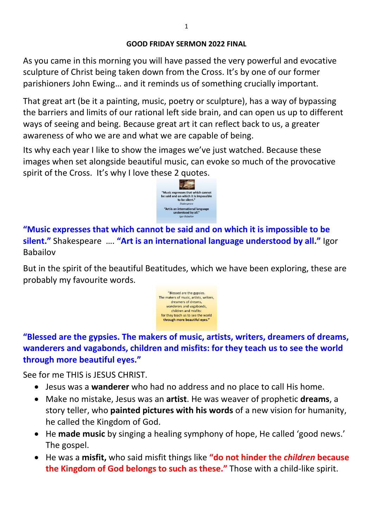#### **GOOD FRIDAY SERMON 2022 FINAL**

As you came in this morning you will have passed the very powerful and evocative sculpture of Christ being taken down from the Cross. It's by one of our former parishioners John Ewing… and it reminds us of something crucially important.

That great art (be it a painting, music, poetry or sculpture), has a way of bypassing the barriers and limits of our rational left side brain, and can open us up to different ways of seeing and being. Because great art it can reflect back to us, a greater awareness of who we are and what we are capable of being.

Its why each year I like to show the images we've just watched. Because these images when set alongside beautiful music, can evoke so much of the provocative spirit of the Cross. It's why I love these 2 quotes.



**"Music expresses that which cannot be said and on which it is impossible to be silent."** Shakespeare …. **"Art is an international language understood by all."** Igor Babailov

But in the spirit of the beautiful Beatitudes, which we have been exploring, these are probably my favourite words.



**"Blessed are the gypsies. The makers of music, artists, writers, dreamers of dreams, wanderers and vagabonds, children and misfits: for they teach us to see the world through more beautiful eyes."**

See for me THIS is JESUS CHRIST.

- Jesus was a **wanderer** who had no address and no place to call His home.
- Make no mistake, Jesus was an **artist**. He was weaver of prophetic **dreams**, a story teller, who **painted pictures with his words** of a new vision for humanity, he called the Kingdom of God.
- He **made music** by singing a healing symphony of hope, He called 'good news.' The gospel.
- He was a **misfit,** who said misfit things like **"do not hinder the** *children* **because the Kingdom of God belongs to such as these."** Those with a child-like spirit.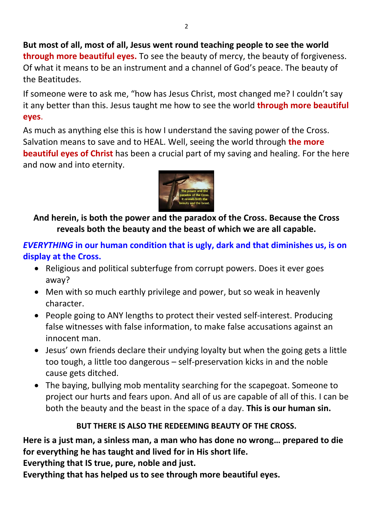**But most of all, most of all, Jesus went round teaching people to see the world through more beautiful eyes.** To see the beauty of mercy, the beauty of forgiveness. Of what it means to be an instrument and a channel of God's peace. The beauty of the Beatitudes.

If someone were to ask me, "how has Jesus Christ, most changed me? I couldn't say it any better than this. Jesus taught me how to see the world **through more beautiful eyes**.

As much as anything else this is how I understand the saving power of the Cross. Salvation means to save and to HEAL. Well, seeing the world through **the more beautiful eyes of Christ** has been a crucial part of my saving and healing. For the here and now and into eternity.



**And herein, is both the power and the paradox of the Cross. Because the Cross reveals both the beauty and the beast of which we are all capable.** 

*EVERYTHING* **in our human condition that is ugly, dark and that diminishes us, is on display at the Cross.** 

- Religious and political subterfuge from corrupt powers. Does it ever goes away?
- Men with so much earthly privilege and power, but so weak in heavenly character.
- People going to ANY lengths to protect their vested self-interest. Producing false witnesses with false information, to make false accusations against an innocent man.
- Jesus' own friends declare their undying loyalty but when the going gets a little too tough, a little too dangerous – self-preservation kicks in and the noble cause gets ditched.
- The baying, bullying mob mentality searching for the scapegoat. Someone to project our hurts and fears upon. And all of us are capable of all of this. I can be both the beauty and the beast in the space of a day. **This is our human sin.**

### **BUT THERE IS ALSO THE REDEEMING BEAUTY OF THE CROSS.**

**Here is a just man, a sinless man, a man who has done no wrong… prepared to die for everything he has taught and lived for in His short life.** 

**Everything that IS true, pure, noble and just.** 

**Everything that has helped us to see through more beautiful eyes.**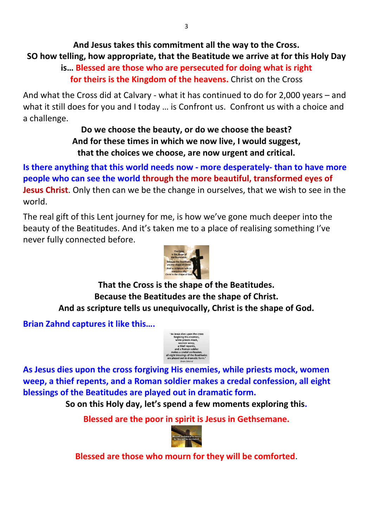# **And Jesus takes this commitment all the way to the Cross. SO how telling, how appropriate, that the Beatitude we arrive at for this Holy Day**

## **is… Blessed are those who are persecuted for doing what is right for theirs is the Kingdom of the heavens.** Christ on the Cross

And what the Cross did at Calvary - what it has continued to do for 2,000 years – and what it still does for you and I today ... is Confront us. Confront us with a choice and a challenge.

> **Do we choose the beauty, or do we choose the beast? And for these times in which we now live, I would suggest, that the choices we choose, are now urgent and critical.**

**Is there anything that this world needs now - more desperately- than to have more people who can see the world through the more beautiful, transformed eyes of Jesus Christ**. Only then can we be the change in ourselves, that we wish to see in the world.

The real gift of this Lent journey for me, is how we've gone much deeper into the beauty of the Beatitudes. And it's taken me to a place of realising something I've never fully connected before.



**That the Cross is the shape of the Beatitudes. Because the Beatitudes are the shape of Christ. And as scripture tells us unequivocally, Christ is the shape of God.** 

**Brian Zahnd captures it like this….** 



**As Jesus dies upon the cross forgiving His enemies, while priests mock, women weep, a thief repents, and a Roman soldier makes a credal confession, all eight blessings of the Beatitudes are played out in dramatic form.** 

**So on this Holy day, let's spend a few moments exploring this.** 

**Blessed are the poor in spirit is Jesus in Gethsemane.** 



**Blessed are those who mourn for they will be comforted**.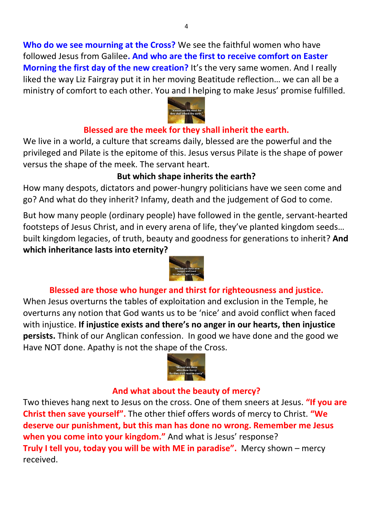**Who do we see mourning at the Cross?** We see the faithful women who have followed Jesus from Galilee**. And who are the first to receive comfort on Easter Morning the first day of the new creation?** It's the very same women. And I really liked the way Liz Fairgray put it in her moving Beatitude reflection… we can all be a ministry of comfort to each other. You and I helping to make Jesus' promise fulfilled.



### **Blessed are the meek for they shall inherit the earth.**

We live in a world, a culture that screams daily, blessed are the powerful and the privileged and Pilate is the epitome of this. Jesus versus Pilate is the shape of power versus the shape of the meek. The servant heart.

### **But which shape inherits the earth?**

How many despots, dictators and power-hungry politicians have we seen come and go? And what do they inherit? Infamy, death and the judgement of God to come.

But how many people (ordinary people) have followed in the gentle, servant-hearted footsteps of Jesus Christ, and in every arena of life, they've planted kingdom seeds… built kingdom legacies, of truth, beauty and goodness for generations to inherit? **And which inheritance lasts into eternity?** 



## **Blessed are those who hunger and thirst for righteousness and justice.**

When Jesus overturns the tables of exploitation and exclusion in the Temple, he overturns any notion that God wants us to be 'nice' and avoid conflict when faced with injustice. **If injustice exists and there's no anger in our hearts, then injustice persists.** Think of our Anglican confession. In good we have done and the good we Have NOT done. Apathy is not the shape of the Cross.



#### **And what about the beauty of mercy?**

Two thieves hang next to Jesus on the cross. One of them sneers at Jesus. **"If you are Christ then save yourself".** The other thief offers words of mercy to Christ. **"We deserve our punishment, but this man has done no wrong. Remember me Jesus when you come into your kingdom."** And what is Jesus' response? **Truly I tell you, today you will be with ME in paradise".** Mercy shown – mercy received.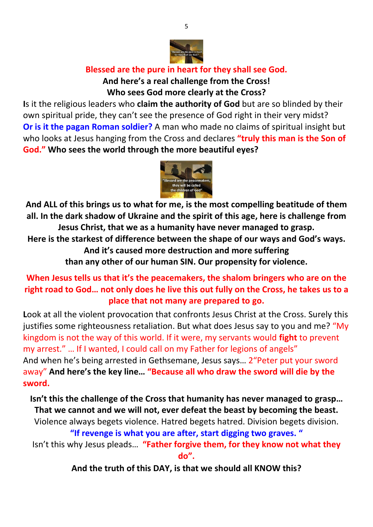

## **Blessed are the pure in heart for they shall see God.**

### **And here's a real challenge from the Cross! Who sees God more clearly at the Cross?**

**I**s it the religious leaders who **claim the authority of God** but are so blinded by their own spiritual pride, they can't see the presence of God right in their very midst? **Or is it the pagan Roman soldier?** A man who made no claims of spiritual insight but who looks at Jesus hanging from the Cross and declares **"truly this man is the Son of God." Who sees the world through the more beautiful eyes?** 



**And ALL of this brings us to what for me, is the most compelling beatitude of them all. In the dark shadow of Ukraine and the spirit of this age, here is challenge from Jesus Christ, that we as a humanity have never managed to grasp.** 

**Here is the starkest of difference between the shape of our ways and God's ways.** 

**And it's caused more destruction and more suffering** 

**than any other of our human SIN. Our propensity for violence.** 

## **When Jesus tells us that it's the peacemakers, the shalom bringers who are on the right road to God… not only does he live this out fully on the Cross, he takes us to a place that not many are prepared to go.**

**L**ook at all the violent provocation that confronts Jesus Christ at the Cross. Surely this justifies some righteousness retaliation. But what does Jesus say to you and me? "My kingdom is not the way of this world. If it were, my servants would **fight** to prevent my arrest." … If I wanted, I could call on my Father for legions of angels" And when he's being arrested in Gethsemane, Jesus says… 2"Peter put your sword away" **And here's the key line… "Because all who draw the sword will die by the sword.**

**Isn't this the challenge of the Cross that humanity has never managed to grasp… That we cannot and we will not, ever defeat the beast by becoming the beast.**

Violence always begets violence. Hatred begets hatred. Division begets division.

**"If revenge is what you are after, start digging two graves. "**

Isn't this why Jesus pleads… **"Father forgive them, for they know not what they do".**

**And the truth of this DAY, is that we should all KNOW this?**